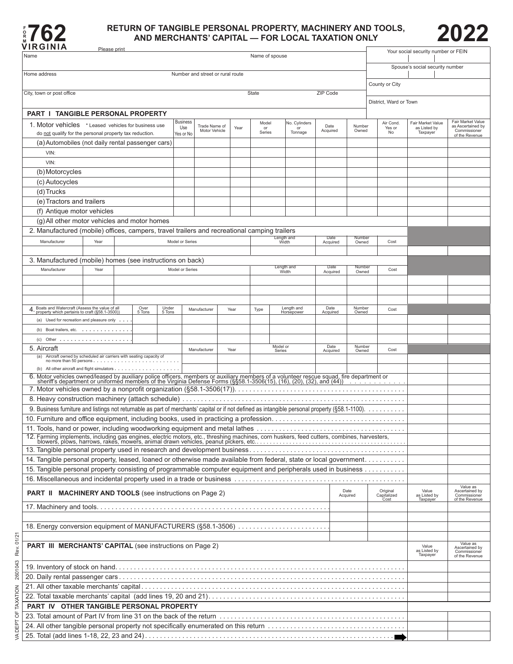

## **RETURN OF TANGIBLE PERSONAL PROPERTY, MACHINERY AND TOOLS, 2022**<br>AND MERCHANTS' CAPITAL — FOR LOCAL TAXATION ONLY<br>WIRGINIA



| ៸៲៱៴៲៲៶៸៱<br>Name                                                                                                                                                                                                              | Please print |        |        |                 |                                |      |                                 | Name of spouse      |                       |                                |                  |                  |      |                                 | Your social security number or FEIN |                                                        |
|--------------------------------------------------------------------------------------------------------------------------------------------------------------------------------------------------------------------------------|--------------|--------|--------|-----------------|--------------------------------|------|---------------------------------|---------------------|-----------------------|--------------------------------|------------------|------------------|------|---------------------------------|-------------------------------------|--------------------------------------------------------|
|                                                                                                                                                                                                                                |              |        |        |                 |                                |      |                                 |                     |                       |                                |                  |                  |      |                                 |                                     |                                                        |
| Home address<br>Number and street or rural route                                                                                                                                                                               |              |        |        |                 |                                |      | Spouse's social security number |                     |                       |                                |                  |                  |      |                                 |                                     |                                                        |
| County or City                                                                                                                                                                                                                 |              |        |        |                 |                                |      |                                 |                     |                       |                                |                  |                  |      |                                 |                                     |                                                        |
| City, town or post office<br>ZIP Code<br>State                                                                                                                                                                                 |              |        |        |                 |                                |      |                                 |                     |                       |                                |                  |                  |      |                                 |                                     |                                                        |
| District, Ward or Town                                                                                                                                                                                                         |              |        |        |                 |                                |      |                                 |                     |                       |                                |                  |                  |      |                                 |                                     |                                                        |
| <b>PART I TANGIBLE PERSONAL PROPERTY</b>                                                                                                                                                                                       |              |        |        |                 |                                |      |                                 |                     |                       |                                |                  |                  |      |                                 |                                     |                                                        |
| 1. Motor vehicles * Leased vehicles for business use                                                                                                                                                                           |              |        |        | Business<br>Use | Trade Name of<br>Motor Vehicle |      | Year                            | Model<br>or         |                       | No. Cylinders<br>or            | Date             | Number<br>Owned  |      | Air Cond.<br>Yes or             | Fair Market Value<br>as Listed by   | Fair Market Value<br>as Ascertained by<br>Commissioner |
| do not qualify for the personal property tax reduction.                                                                                                                                                                        |              |        |        | Yes or No       |                                |      |                                 | Series              |                       | Tonnage                        | Acquired         |                  |      | No                              | Taxpayer                            | of the Revenue                                         |
| (a) Automobiles (not daily rental passenger cars)                                                                                                                                                                              |              |        |        |                 |                                |      |                                 |                     |                       |                                |                  |                  |      |                                 |                                     |                                                        |
| VIN:<br>VIN:                                                                                                                                                                                                                   |              |        |        |                 |                                |      |                                 |                     |                       |                                |                  |                  |      |                                 |                                     |                                                        |
|                                                                                                                                                                                                                                |              |        |        |                 |                                |      |                                 |                     |                       |                                |                  |                  |      |                                 |                                     |                                                        |
| (b) Motorcycles<br>(c) Autocycles                                                                                                                                                                                              |              |        |        |                 |                                |      |                                 |                     |                       |                                |                  |                  |      |                                 |                                     |                                                        |
| (d)Trucks                                                                                                                                                                                                                      |              |        |        |                 |                                |      |                                 |                     |                       |                                |                  |                  |      |                                 |                                     |                                                        |
| (e) Tractors and trailers                                                                                                                                                                                                      |              |        |        |                 |                                |      |                                 |                     |                       |                                |                  |                  |      |                                 |                                     |                                                        |
| (f) Antique motor vehicles                                                                                                                                                                                                     |              |        |        |                 |                                |      |                                 |                     |                       |                                |                  |                  |      |                                 |                                     |                                                        |
| (g) All other motor vehicles and motor homes                                                                                                                                                                                   |              |        |        |                 |                                |      |                                 |                     |                       |                                |                  |                  |      |                                 |                                     |                                                        |
| 2. Manufactured (mobile) offices, campers, travel trailers and recreational camping trailers                                                                                                                                   |              |        |        |                 |                                |      |                                 |                     |                       |                                |                  |                  |      |                                 |                                     |                                                        |
| Manufacturer                                                                                                                                                                                                                   | Year         |        |        |                 | Model or Series                |      |                                 | Length and<br>Width |                       | Date<br>Acquired               | Number<br>Owned  |                  | Cost |                                 |                                     |                                                        |
|                                                                                                                                                                                                                                |              |        |        |                 |                                |      |                                 |                     |                       |                                |                  |                  |      |                                 |                                     |                                                        |
| 3. Manufactured (mobile) homes (see instructions on back)                                                                                                                                                                      |              |        |        |                 |                                |      |                                 |                     |                       |                                | Date             | Number           |      |                                 |                                     |                                                        |
| Manufacturer                                                                                                                                                                                                                   | Year         |        |        |                 | Model or Series                |      |                                 |                     | Length and<br>Width   |                                | Acquired         | Owned            |      | Cost                            |                                     |                                                        |
|                                                                                                                                                                                                                                |              |        |        |                 |                                |      |                                 |                     |                       |                                |                  |                  |      |                                 |                                     |                                                        |
|                                                                                                                                                                                                                                |              |        |        |                 |                                |      |                                 |                     |                       |                                |                  |                  |      |                                 |                                     |                                                        |
| 4 Boats and Watercraft (Assess the value of all                                                                                                                                                                                |              | Over   | Under  |                 |                                |      |                                 |                     |                       | Length and                     | Date             | Number           |      |                                 |                                     |                                                        |
| property which pertains to craft (§58.1-3500))                                                                                                                                                                                 |              | 5 Tons | 5 Tons |                 | Manufacturer                   | Year |                                 | Type                |                       | Horsepower                     | Acquired         | Owned            |      | Cost                            |                                     |                                                        |
| (a) Used for recreation and pleasure only<br>(b) Boat trailers, etc.                                                                                                                                                           |              |        |        |                 |                                |      |                                 |                     |                       |                                |                  |                  |      |                                 |                                     |                                                        |
| (c) Other                                                                                                                                                                                                                      |              |        |        |                 |                                |      |                                 |                     |                       |                                |                  |                  |      |                                 |                                     |                                                        |
| 5. Aircraft                                                                                                                                                                                                                    |              |        |        |                 | Manufacturer                   |      | Year                            | Model or<br>Series  |                       |                                | Date<br>Acquired | Number<br>Owned  |      | Cost                            |                                     |                                                        |
| Aircraft owned by scheduled air carriers with seating capacity of<br>(a)                                                                                                                                                       |              |        |        |                 |                                |      |                                 |                     |                       |                                |                  |                  |      |                                 |                                     |                                                        |
|                                                                                                                                                                                                                                |              |        |        |                 |                                |      |                                 |                     |                       |                                |                  |                  |      |                                 |                                     |                                                        |
| 6. Motor vehicles owned/leased by auxiliary police officers, members or auxiliary members of a volunteer rescue squad, fire department or sheriff's department or uniformed members of the Virginia Defense Forms (§§58.1-3506 |              |        |        |                 |                                |      |                                 |                     |                       |                                |                  |                  |      |                                 |                                     |                                                        |
|                                                                                                                                                                                                                                |              |        |        |                 |                                |      |                                 |                     |                       |                                |                  |                  |      |                                 |                                     |                                                        |
|                                                                                                                                                                                                                                |              |        |        |                 |                                |      |                                 |                     |                       |                                |                  |                  |      |                                 |                                     |                                                        |
|                                                                                                                                                                                                                                |              |        |        |                 |                                |      |                                 |                     |                       |                                |                  |                  |      |                                 |                                     |                                                        |
|                                                                                                                                                                                                                                |              |        |        |                 |                                |      |                                 |                     |                       |                                |                  |                  |      |                                 |                                     |                                                        |
| 11. Tools, hand or power, including woodworking equipment and metal lathes                                                                                                                                                     |              |        |        |                 |                                |      |                                 |                     |                       |                                |                  |                  |      |                                 |                                     |                                                        |
| 12. Farming implements, including gas engines, electric motors, etc., threshing machines, corn huskers, feed cutters, combines, harvesters, blowers, plows, harrows, rakes, mowers, animal drawn vehicles, peanut pickers, etc |              |        |        |                 |                                |      |                                 |                     |                       |                                |                  |                  |      |                                 |                                     |                                                        |
|                                                                                                                                                                                                                                |              |        |        |                 |                                |      |                                 |                     |                       |                                |                  |                  |      |                                 |                                     |                                                        |
| 14. Tangible personal property, leased, loaned or otherwise made available from federal, state or local government.                                                                                                            |              |        |        |                 |                                |      |                                 |                     |                       |                                |                  |                  |      |                                 |                                     |                                                        |
| 15. Tangible personal property consisting of programmable computer equipment and peripherals used in business                                                                                                                  |              |        |        |                 |                                |      |                                 |                     |                       |                                |                  |                  |      |                                 |                                     |                                                        |
|                                                                                                                                                                                                                                |              |        |        |                 |                                |      |                                 |                     |                       |                                |                  |                  |      |                                 |                                     | Value as                                               |
| <b>PART II MACHINERY AND TOOLS</b> (see instructions on Page 2)                                                                                                                                                                |              |        |        |                 |                                |      |                                 |                     |                       |                                |                  | Date<br>Acquired |      | Original<br>Capitalized<br>Cost | Value<br>as Listed by<br>Taxpayer   | Ascertained by<br>Commissioner                         |
|                                                                                                                                                                                                                                |              |        |        |                 |                                |      |                                 |                     |                       |                                |                  |                  |      |                                 |                                     | of the Revenue                                         |
|                                                                                                                                                                                                                                |              |        |        |                 |                                |      |                                 |                     |                       |                                |                  |                  |      |                                 |                                     |                                                        |
| 18. Energy conversion equipment of MANUFACTURERS (§58.1-3506)                                                                                                                                                                  |              |        |        |                 |                                |      |                                 |                     |                       |                                |                  |                  |      |                                 |                                     |                                                        |
|                                                                                                                                                                                                                                |              |        |        |                 |                                |      |                                 |                     |                       |                                |                  |                  |      |                                 |                                     |                                                        |
| PART III MERCHANTS' CAPITAL (see instructions on Page 2)                                                                                                                                                                       |              |        |        |                 |                                |      |                                 |                     | Value<br>as Listed by | Value as<br>Ascertained by     |                  |                  |      |                                 |                                     |                                                        |
|                                                                                                                                                                                                                                |              |        |        |                 |                                |      |                                 |                     | Taxpayer              | Commissioner<br>of the Revenue |                  |                  |      |                                 |                                     |                                                        |
|                                                                                                                                                                                                                                |              |        |        |                 |                                |      |                                 |                     |                       |                                |                  |                  |      |                                 |                                     |                                                        |
|                                                                                                                                                                                                                                |              |        |        |                 |                                |      |                                 |                     |                       |                                |                  |                  |      |                                 |                                     |                                                        |
|                                                                                                                                                                                                                                |              |        |        |                 |                                |      |                                 |                     |                       |                                |                  |                  |      |                                 |                                     |                                                        |
| PART IV OTHER TANGIBLE PERSONAL PROPERTY                                                                                                                                                                                       |              |        |        |                 |                                |      |                                 |                     |                       |                                |                  |                  |      |                                 |                                     |                                                        |
|                                                                                                                                                                                                                                |              |        |        |                 |                                |      |                                 |                     |                       |                                |                  |                  |      |                                 |                                     |                                                        |
|                                                                                                                                                                                                                                |              |        |        |                 |                                |      |                                 |                     |                       |                                |                  |                  |      |                                 |                                     |                                                        |
| 24. All other tangible personal property not specifically enumerated on this return                                                                                                                                            |              |        |        |                 |                                |      |                                 |                     |                       |                                |                  |                  |      |                                 |                                     |                                                        |
|                                                                                                                                                                                                                                |              |        |        |                 |                                |      |                                 |                     |                       |                                |                  |                  |      |                                 |                                     |                                                        |